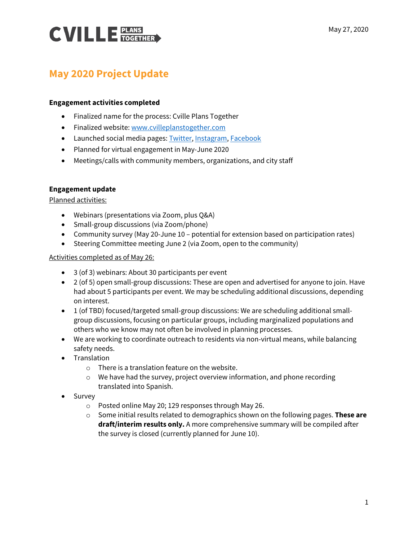

# **May 2020 Project Update**

#### **Engagement activities completed**

- Finalized name for the process: Cville Plans Together
- Finalized website: www.cvilleplanstogether.com
- Launched social media pages: [Twitter,](https://twitter.com/CvillePlans) [Instagram,](https://www.instagram.com/cvilleplanstogether/) [Facebook](https://www.facebook.com/Cville-Plans-Together-102469198127590)
- Planned for virtual engagement in May-June 2020
- Meetings/calls with community members, organizations, and city staff

#### **Engagement update**

#### Planned activities:

- Webinars (presentations via Zoom, plus Q&A)
- Small-group discussions (via Zoom/phone)
- Community survey (May 20-June 10 potential for extension based on participation rates)
- Steering Committee meeting June 2 (via Zoom, open to the community)

#### Activities completed as of May 26:

- 3 (of 3) webinars: About 30 participants per event
- 2 (of 5) open small-group discussions: These are open and advertised for anyone to join. Have had about 5 participants per event. We may be scheduling additional discussions, depending on interest.
- 1 (of TBD) focused/targeted small-group discussions: We are scheduling additional smallgroup discussions, focusing on particular groups, including marginalized populations and others who we know may not often be involved in planning processes.
- We are working to coordinate outreach to residents via non-virtual means, while balancing safety needs.
- Translation
	- $\circ$  There is a translation feature on the website.
	- $\circ$  We have had the survey, project overview information, and phone recording translated into Spanish.
- Survey
	- o Posted online May 20; 129 responses through May 26.
	- o Some initial results related to demographics shown on the following pages. **These are draft/interim results only.** A more comprehensive summary will be compiled after the survey is closed (currently planned for June 10).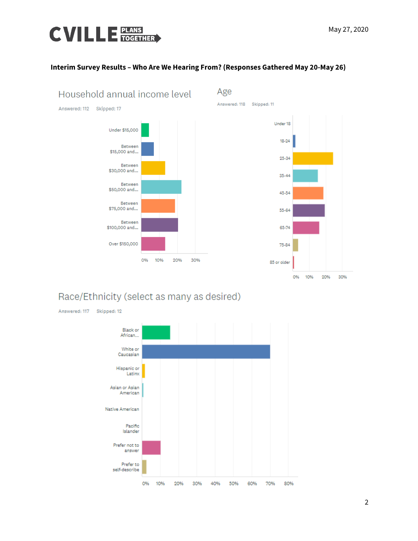



#### **Interim Survey Results – Who Are We Hearing From? (Responses Gathered May 20-May 26)**

Age





## Race/Ethnicity (select as many as desired)

Answered: 117 Skipped: 12